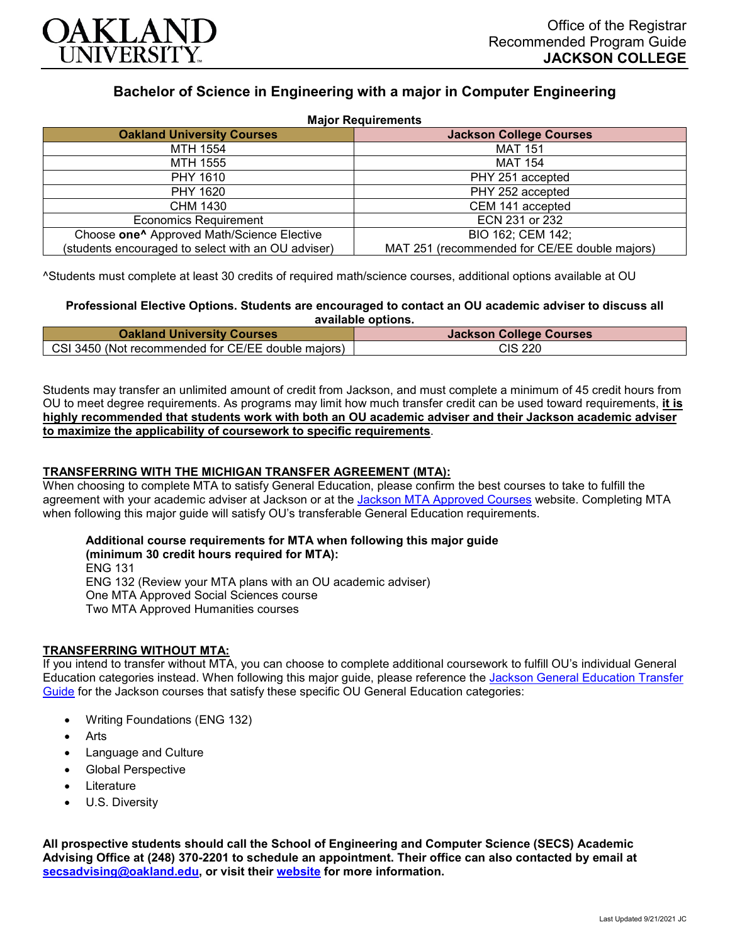

# **Bachelor of Science in Engineering with a major in Computer Engineering**

| <b>Major Requirements</b>                              |                                               |
|--------------------------------------------------------|-----------------------------------------------|
| <b>Oakland University Courses</b>                      | <b>Jackson College Courses</b>                |
| MTH 1554                                               | <b>MAT 151</b>                                |
| MTH 1555                                               | <b>MAT 154</b>                                |
| PHY 1610                                               | PHY 251 accepted                              |
| PHY 1620                                               | PHY 252 accepted                              |
| CHM 1430                                               | CEM 141 accepted                              |
| <b>Economics Requirement</b>                           | ECN 231 or 232                                |
| Choose one <sup>^</sup> Approved Math/Science Elective | BIO 162; CEM 142;                             |
| (students encouraged to select with an OU adviser)     | MAT 251 (recommended for CE/EE double majors) |

^Students must complete at least 30 credits of required math/science courses, additional options available at OU

#### **Professional Elective Options. Students are encouraged to contact an OU academic adviser to discuss all available options.**

| <b>Oakland University Courses</b>                  | <b>Jackson College Courses</b> |
|----------------------------------------------------|--------------------------------|
| CSI 3450 (Not recommended for CE/EE double majors) | <b>CIS 220</b>                 |

Students may transfer an unlimited amount of credit from Jackson, and must complete a minimum of 45 credit hours from OU to meet degree requirements. As programs may limit how much transfer credit can be used toward requirements, **it is highly recommended that students work with both an OU academic adviser and their Jackson academic adviser to maximize the applicability of coursework to specific requirements**.

## **TRANSFERRING WITH THE MICHIGAN TRANSFER AGREEMENT (MTA):**

When choosing to complete MTA to satisfy General Education, please confirm the best courses to take to fulfill the agreement with your academic adviser at Jackson or at the Jackson [MTA Approved Courses](https://www.jccmi.edu/transfer/michigan-transfer-agreement/) website. Completing MTA when following this major guide will satisfy OU's transferable General Education requirements.

## **Additional course requirements for MTA when following this major guide (minimum 30 credit hours required for MTA):** ENG 131

ENG 132 (Review your MTA plans with an OU academic adviser) One MTA Approved Social Sciences course Two MTA Approved Humanities courses

#### **TRANSFERRING WITHOUT MTA:**

If you intend to transfer without MTA, you can choose to complete additional coursework to fulfill OU's individual General Education categories instead. When following this major guide, please reference the [Jackson General Education Transfer](https://www.oakland.edu/Assets/Oakland/program-guides/jackson-college/university-general-education-requirements/Jackson%20Gen%20Ed.pdf)  [Guide](https://www.oakland.edu/Assets/Oakland/program-guides/jackson-college/university-general-education-requirements/Jackson%20Gen%20Ed.pdf) for the Jackson courses that satisfy these specific OU General Education categories:

- Writing Foundations (ENG 132)
- **Arts**
- Language and Culture
- Global Perspective
- **Literature**
- U.S. Diversity

**All prospective students should call the School of Engineering and Computer Science (SECS) Academic Advising Office at (248) 370-2201 to schedule an appointment. Their office can also contacted by email at [secsadvising@oakland.edu,](mailto:secsadvising@oakland.edu) or visit their [website](https://wwwp.oakland.edu/secs/advising/) for more information.**